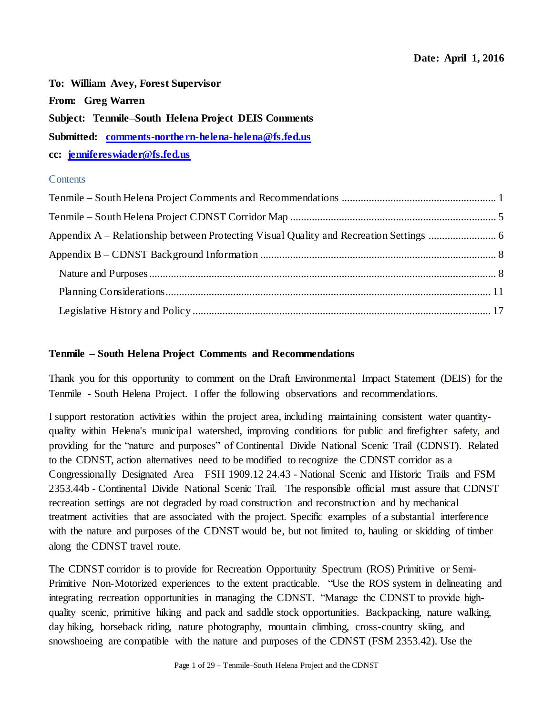**To: William Avey, Forest Supervisor From: Greg Warren Subject: Tenmile–South Helena Project DEIS Comments Submitted: [comments-northern-helena-helena@fs.fed.us](mailto:comments-northern-helena-helena@fs.fed.us) cc: [jennifereswiader@fs.fed.us](mailto:jennifereswiader@fs.fed.us)**

# **Contents**

# <span id="page-0-0"></span>**Tenmile – South Helena Project Comments and Recommendations**

Thank you for this opportunity to comment on the Draft Environmental Impact Statement (DEIS) for the Tenmile - South Helena Project. I offer the following observations and recommendations.

I support restoration activities within the project area, including maintaining consistent water quantityquality within Helena's municipal watershed, improving conditions for public and firefighter safety, and providing for the "nature and purposes" of Continental Divide National Scenic Trail (CDNST). Related to the CDNST, action alternatives need to be modified to recognize the CDNST corridor as a Congressionally Designated Area—FSH 1909.12 24.43 - National Scenic and Historic Trails and FSM 2353.44b - Continental Divide National Scenic Trail. The responsible official must assure that CDNST recreation settings are not degraded by road construction and reconstruction and by mechanical treatment activities that are associated with the project. Specific examples of a substantial interference with the nature and purposes of the CDNST would be, but not limited to, hauling or skidding of timber along the CDNST travel route.

The CDNST corridor is to provide for Recreation Opportunity Spectrum (ROS) Primitive or Semi-Primitive Non-Motorized experiences to the extent practicable. "Use the ROS system in delineating and integrating recreation opportunities in managing the CDNST. "Manage the CDNST to provide highquality scenic, primitive hiking and pack and saddle stock opportunities. Backpacking, nature walking, day hiking, horseback riding, nature photography, mountain climbing, cross-country skiing, and snowshoeing are compatible with the nature and purposes of the CDNST (FSM 2353.42). Use the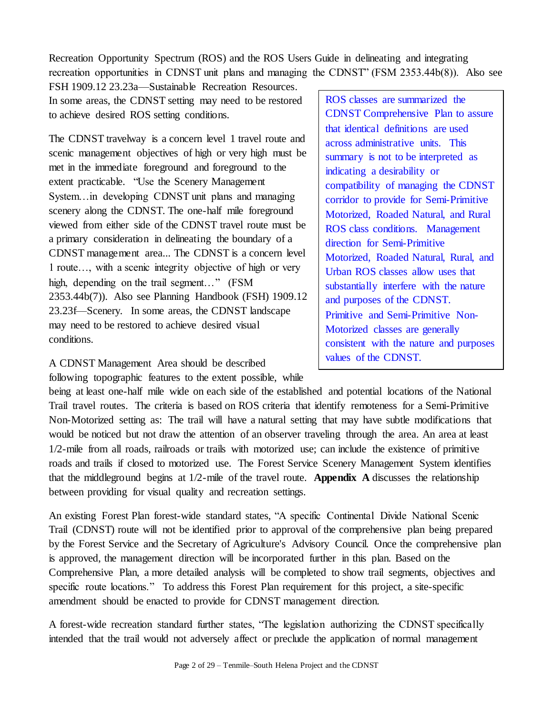Recreation Opportunity Spectrum (ROS) and the ROS Users Guide in delineating and integrating recreation opportunities in CDNST unit plans and managing the CDNST" (FSM 2353.44b(8)). Also see

FSH 1909.12 23.23a—Sustainable Recreation Resources. In some areas, the CDNST setting may need to be restored to achieve desired ROS setting conditions.

The CDNST travelway is a concern level 1 travel route and scenic management objectives of high or very high must be met in the immediate foreground and foreground to the extent practicable. "Use the Scenery Management System…in developing CDNST unit plans and managing scenery along the CDNST. The one-half mile foreground viewed from either side of the CDNST travel route must be a primary consideration in delineating the boundary of a CDNST management area... The CDNST is a concern level 1 route…, with a scenic integrity objective of high or very high, depending on the trail segment..." (FSM 2353.44b(7)). Also see Planning Handbook (FSH) 1909.12 23.23f—Scenery. In some areas, the CDNST landscape may need to be restored to achieve desired visual conditions.

A CDNST Management Area should be described following topographic features to the extent possible, while ROS classes are summarized the CDNST Comprehensive Plan to assure that identical definitions are used across administrative units. This summary is not to be interpreted as indicating a desirability or compatibility of managing the CDNST corridor to provide for Semi-Primitive Motorized, Roaded Natural, and Rural ROS class conditions. Management direction for Semi-Primitive Motorized, Roaded Natural, Rural, and Urban ROS classes allow uses that substantially interfere with the nature and purposes of the CDNST. Primitive and Semi-Primitive Non-Motorized classes are generally consistent with the nature and purposes values of the CDNST.

being at least one-half mile wide on each side of the established and potential locations of the National Trail travel routes. The criteria is based on ROS criteria that identify remoteness for a Semi-Primitive Non-Motorized setting as: The trail will have a natural setting that may have subtle modifications that would be noticed but not draw the attention of an observer traveling through the area. An area at least 1/2-mile from all roads, railroads or trails with motorized use; can include the existence of primitive roads and trails if closed to motorized use. The Forest Service Scenery Management System identifies that the middleground begins at 1/2-mile of the travel route. **Appendix A** discusses the relationship between providing for visual quality and recreation settings.

An existing Forest Plan forest-wide standard states, "A specific Continental Divide National Scenic Trail (CDNST) route will not be identified prior to approval of the comprehensive plan being prepared by the Forest Service and the Secretary of Agriculture's Advisory Council. Once the comprehensive plan is approved, the management direction will be incorporated further in this plan. Based on the Comprehensive Plan, a more detailed analysis will be completed to show trail segments, objectives and specific route locations." To address this Forest Plan requirement for this project, a site-specific amendment should be enacted to provide for CDNST management direction.

A forest-wide recreation standard further states, "The legislation authorizing the CDNST specifically intended that the trail would not adversely affect or preclude the application of normal management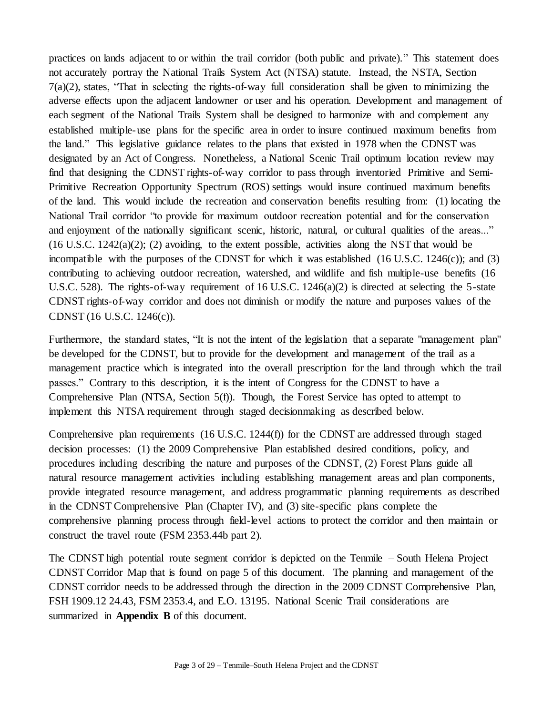practices on lands adjacent to or within the trail corridor (both public and private)." This statement does not accurately portray the National Trails System Act (NTSA) statute. Instead, the NSTA, Section 7(a)(2), states, "That in selecting the rights-of-way full consideration shall be given to minimizing the adverse effects upon the adjacent landowner or user and his operation. Development and management of each segment of the National Trails System shall be designed to harmonize with and complement any established multiple-use plans for the specific area in order to insure continued maximum benefits from the land." This legislative guidance relates to the plans that existed in 1978 when the CDNST was designated by an Act of Congress. Nonetheless, a National Scenic Trail optimum location review may find that designing the CDNST rights-of-way corridor to pass through inventoried Primitive and Semi-Primitive Recreation Opportunity Spectrum (ROS) settings would insure continued maximum benefits of the land. This would include the recreation and conservation benefits resulting from: (1) locating the National Trail corridor "to provide for maximum outdoor recreation potential and for the conservation and enjoyment of the nationally significant scenic, historic, natural, or cultural qualities of the areas..."  $(16 \text{ U.S.C. } 1242(a)(2); (2)$  avoiding, to the extent possible, activities along the NST that would be incompatible with the purposes of the CDNST for which it was established (16 U.S.C. 1246(c)); and (3) contributing to achieving outdoor recreation, watershed, and wildlife and fish multiple-use benefits (16 U.S.C. 528). The rights-of-way requirement of 16 U.S.C.  $1246(a)(2)$  is directed at selecting the 5-state CDNST rights-of-way corridor and does not diminish or modify the nature and purposes values of the CDNST (16 U.S.C. 1246(c)).

Furthermore, the standard states, "It is not the intent of the legislation that a separate "management plan" be developed for the CDNST, but to provide for the development and management of the trail as a management practice which is integrated into the overall prescription for the land through which the trail passes." Contrary to this description, it is the intent of Congress for the CDNST to have a Comprehensive Plan (NTSA, Section 5(f)). Though, the Forest Service has opted to attempt to implement this NTSA requirement through staged decisionmaking as described below.

Comprehensive plan requirements (16 U.S.C. 1244(f)) for the CDNST are addressed through staged decision processes: (1) the 2009 Comprehensive Plan established desired conditions, policy, and procedures including describing the nature and purposes of the CDNST, (2) Forest Plans guide all natural resource management activities including establishing management areas and plan components, provide integrated resource management, and address programmatic planning requirements as described in the CDNST Comprehensive Plan (Chapter IV), and (3) site-specific plans complete the comprehensive planning process through field-level actions to protect the corridor and then maintain or construct the travel route (FSM 2353.44b part 2).

The CDNST high potential route segment corridor is depicted on the Tenmile – South Helena Project CDNST Corridor Map that is found on page 5 of this document. The planning and management of the CDNST corridor needs to be addressed through the direction in the 2009 CDNST Comprehensive Plan, FSH 1909.12 24.43, FSM 2353.4, and E.O. 13195. National Scenic Trail considerations are summarized in **Appendix B** of this document.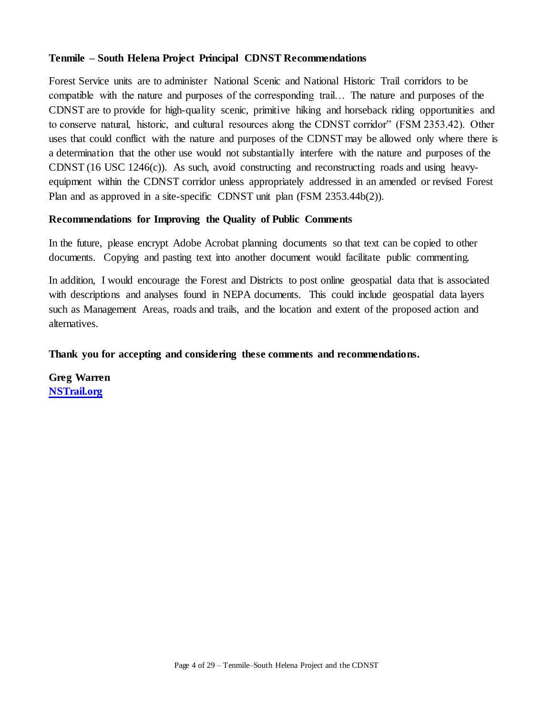## **Tenmile – South Helena Project Principal CDNST Recommendations**

Forest Service units are to administer National Scenic and National Historic Trail corridors to be compatible with the nature and purposes of the corresponding trail… The nature and purposes of the CDNST are to provide for high-quality scenic, primitive hiking and horseback riding opportunities and to conserve natural, historic, and cultural resources along the CDNST corridor" (FSM 2353.42). Other uses that could conflict with the nature and purposes of the CDNST may be allowed only where there is a determination that the other use would not substantially interfere with the nature and purposes of the CDNST (16 USC 1246(c)). As such, avoid constructing and reconstructing roads and using heavyequipment within the CDNST corridor unless appropriately addressed in an amended or revised Forest Plan and as approved in a site-specific CDNST unit plan (FSM 2353.44b(2)).

## **Recommendations for Improving the Quality of Public Comments**

In the future, please encrypt Adobe Acrobat planning documents so that text can be copied to other documents. Copying and pasting text into another document would facilitate public commenting.

In addition, I would encourage the Forest and Districts to post online geospatial data that is associated with descriptions and analyses found in NEPA documents. This could include geospatial data layers such as Management Areas, roads and trails, and the location and extent of the proposed action and alternatives.

## **Thank you for accepting and considering these comments and recommendations.**

**Greg Warren [NSTrail.org](http://www.nstrail.org/)**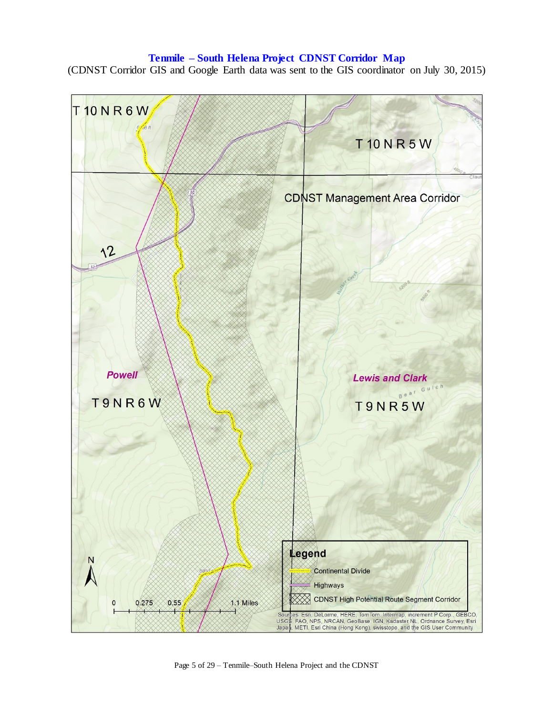## **Tenmile – South Helena Project CDNST Corridor Map**

<span id="page-4-0"></span>(CDNST Corridor GIS and Google Earth data was sent to the GIS coordinator on July 30, 2015)



Page 5 of 29 – Tenmile–South Helena Project and the CDNST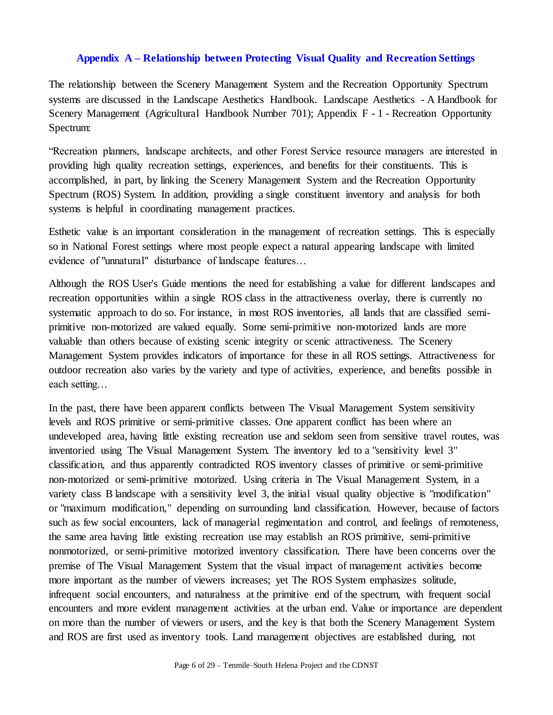## **Appendix A – Relationship between Protecting Visual Quality and Recreation Settings**

<span id="page-5-0"></span>The relationship between the Scenery Management System and the Recreation Opportunity Spectrum systems are discussed in the Landscape Aesthetics Handbook. Landscape Aesthetics - A Handbook for Scenery Management (Agricultural Handbook Number 701); Appendix F - 1 - Recreation Opportunity Spectrum:

"Recreation planners, landscape architects, and other Forest Service resource managers are interested in providing high quality recreation settings, experiences, and benefits for their constituents. This is accomplished, in part, by linking the Scenery Management System and the Recreation Opportunity Spectrum (ROS) System. In addition, providing a single constituent inventory and analysis for both systems is helpful in coordinating management practices.

Esthetic value is an important consideration in the management of recreation settings. This is especially so in National Forest settings where most people expect a natural appearing landscape with limited evidence of "unnatural" disturbance of landscape features…

Although the ROS User's Guide mentions the need for establishing a value for different landscapes and recreation opportunities within a single ROS class in the attractiveness overlay, there is currently no systematic approach to do so. For instance, in most ROS inventories, all lands that are classified semiprimitive non-motorized are valued equally. Some semi-primitive non-motorized lands are more valuable than others because of existing scenic integrity or scenic attractiveness. The Scenery Management System provides indicators of importance for these in all ROS settings. Attractiveness for outdoor recreation also varies by the variety and type of activities, experience, and benefits possible in each setting…

In the past, there have been apparent conflicts between The Visual Management System sensitivity levels and ROS primitive or semi-primitive classes. One apparent conflict has been where an undeveloped area, having little existing recreation use and seldom seen from sensitive travel routes, was inventoried using The Visual Management System. The inventory led to a "sensitivity level 3" classification, and thus apparently contradicted ROS inventory classes of primitive or semi-primitive non-motorized or semi-primitive motorized. Using criteria in The Visual Management System, in a variety class B landscape with a sensitivity level 3, the initial visual quality objective is "modification" or "maximum modification," depending on surrounding land classification. However, because of factors such as few social encounters, lack of managerial regimentation and control, and feelings of remoteness, the same area having little existing recreation use may establish an ROS primitive, semi-primitive nonmotorized, or semi-primitive motorized inventory classification. There have been concerns over the premise of The Visual Management System that the visual impact of management activities become more important as the number of viewers increases; yet The ROS System emphasizes solitude, infrequent social encounters, and naturalness at the primitive end of the spectrum, with frequent social encounters and more evident management activities at the urban end. Value or importance are dependent on more than the number of viewers or users, and the key is that both the Scenery Management System and ROS are first used as inventory tools. Land management objectives are established during, not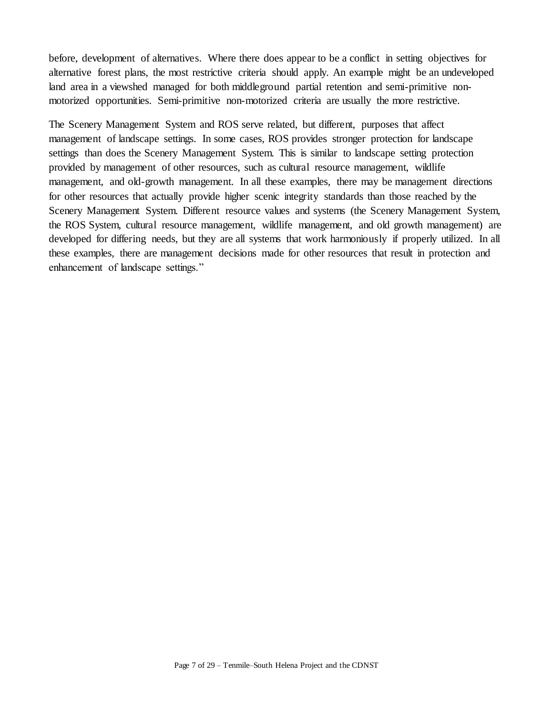before, development of alternatives. Where there does appear to be a conflict in setting objectives for alternative forest plans, the most restrictive criteria should apply. An example might be an undeveloped land area in a viewshed managed for both middleground partial retention and semi-primitive nonmotorized opportunities. Semi-primitive non-motorized criteria are usually the more restrictive.

The Scenery Management System and ROS serve related, but different, purposes that affect management of landscape settings. In some cases, ROS provides stronger protection for landscape settings than does the Scenery Management System. This is similar to landscape setting protection provided by management of other resources, such as cultural resource management, wildlife management, and old-growth management. In all these examples, there may be management directions for other resources that actually provide higher scenic integrity standards than those reached by the Scenery Management System. Different resource values and systems (the Scenery Management System, the ROS System, cultural resource management, wildlife management, and old growth management) are developed for differing needs, but they are all systems that work harmoniously if properly utilized. In all these examples, there are management decisions made for other resources that result in protection and enhancement of landscape settings."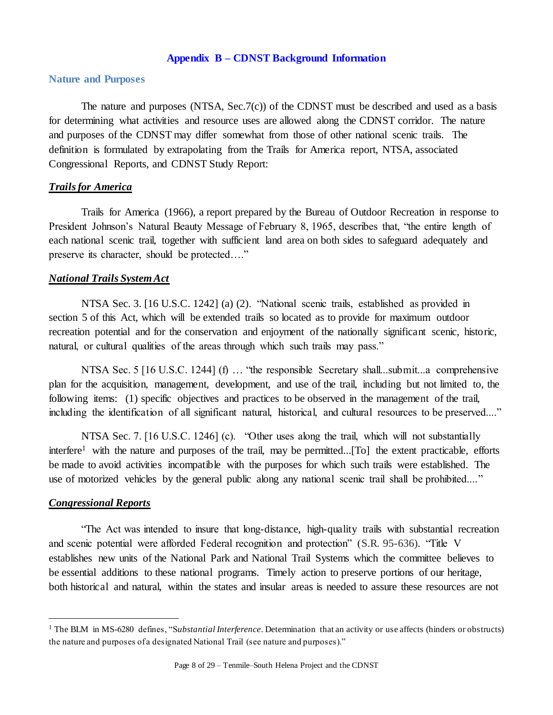#### **Appendix B – CDNST Background Information**

## <span id="page-7-1"></span><span id="page-7-0"></span>**Nature and Purposes**

The nature and purposes (NTSA, Sec.7(c)) of the CDNST must be described and used as a basis for determining what activities and resource uses are allowed along the CDNST corridor. The nature and purposes of the CDNST may differ somewhat from those of other national scenic trails. The definition is formulated by extrapolating from the Trails for America report, NTSA, associated Congressional Reports, and CDNST Study Report:

#### *Trails for America*

Trails for America (1966), a report prepared by the Bureau of Outdoor Recreation in response to President Johnson's Natural Beauty Message of February 8, 1965, describes that, "the entire length of each national scenic trail, together with sufficient land area on both sides to safeguard adequately and preserve its character, should be protected…."

### *National Trails System Act*

NTSA Sec. 3. [16 U.S.C. 1242] (a) (2). "National scenic trails, established as provided in section 5 of this Act, which will be extended trails so located as to provide for maximum outdoor recreation potential and for the conservation and enjoyment of the nationally significant scenic, historic, natural, or cultural qualities of the areas through which such trails may pass."

NTSA Sec. 5 [16 U.S.C. 1244] (f) ... "the responsible Secretary shall...submit...a comprehensive plan for the acquisition, management, development, and use of the trail, including but not limited to, the following items: (1) specific objectives and practices to be observed in the management of the trail, including the identification of all significant natural, historical, and cultural resources to be preserved...."

NTSA Sec. 7. [16 U.S.C. 1246] (c). "Other uses along the trail, which will not substantially interfere<sup>1</sup> with the nature and purposes of the trail, may be permitted...[To] the extent practicable, efforts be made to avoid activities incompatible with the purposes for which such trails were established. The use of motorized vehicles by the general public along any national scenic trail shall be prohibited...."

## *Congressional Reports*

 $\overline{a}$ 

"The Act was intended to insure that long-distance, high-quality trails with substantial recreation and scenic potential were afforded Federal recognition and protection" (S.R. 95-636). "Title V establishes new units of the National Park and National Trail Systems which the committee believes to be essential additions to these national programs. Timely action to preserve portions of our heritage, both historical and natural, within the states and insular areas is needed to assure these resources are not

<sup>&</sup>lt;sup>1</sup> The BLM in MS-6280 defines, "Substantial Interference. Determination that an activity or use affects (hinders or obstructs) the nature and purposes of a designated National Trail (see nature and purposes)."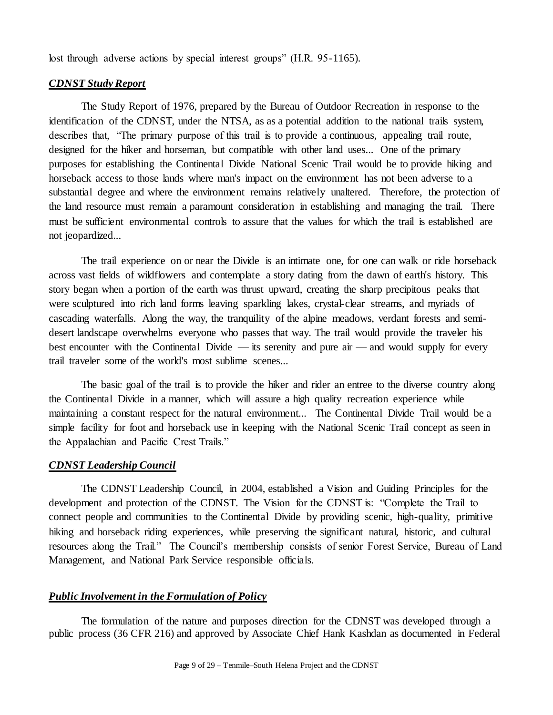lost through adverse actions by special interest groups" (H.R. 95-1165).

#### *CDNST Study Report*

The Study Report of 1976, prepared by the Bureau of Outdoor Recreation in response to the identification of the CDNST, under the NTSA, as as a potential addition to the national trails system, describes that, "The primary purpose of this trail is to provide a continuous, appealing trail route, designed for the hiker and horseman, but compatible with other land uses... One of the primary purposes for establishing the Continental Divide National Scenic Trail would be to provide hiking and horseback access to those lands where man's impact on the environment has not been adverse to a substantial degree and where the environment remains relatively unaltered. Therefore, the protection of the land resource must remain a paramount consideration in establishing and managing the trail. There must be sufficient environmental controls to assure that the values for which the trail is established are not jeopardized...

The trail experience on or near the Divide is an intimate one, for one can walk or ride horseback across vast fields of wildflowers and contemplate a story dating from the dawn of earth's history. This story began when a portion of the earth was thrust upward, creating the sharp precipitous peaks that were sculptured into rich land forms leaving sparkling lakes, crystal-clear streams, and myriads of cascading waterfalls. Along the way, the tranquility of the alpine meadows, verdant forests and semidesert landscape overwhelms everyone who passes that way. The trail would provide the traveler his best encounter with the Continental Divide — its serenity and pure air — and would supply for every trail traveler some of the world's most sublime scenes...

The basic goal of the trail is to provide the hiker and rider an entree to the diverse country along the Continental Divide in a manner, which will assure a high quality recreation experience while maintaining a constant respect for the natural environment... The Continental Divide Trail would be a simple facility for foot and horseback use in keeping with the National Scenic Trail concept as seen in the Appalachian and Pacific Crest Trails."

#### *CDNST Leadership Council*

The CDNST Leadership Council, in 2004, established a Vision and Guiding Principles for the development and protection of the CDNST. The Vision for the CDNST is: "Complete the Trail to connect people and communities to the Continental Divide by providing scenic, high-quality, primitive hiking and horseback riding experiences, while preserving the significant natural, historic, and cultural resources along the Trail." The Council's membership consists of senior Forest Service, Bureau of Land Management, and National Park Service responsible officials.

## *Public Involvement in the Formulation of Policy*

The formulation of the nature and purposes direction for the CDNST was developed through a public process (36 CFR 216) and approved by Associate Chief Hank Kashdan as documented in Federal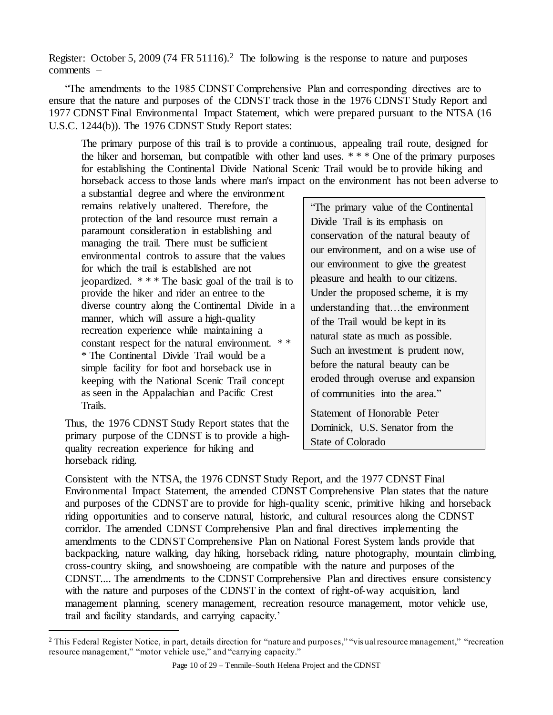Register: October 5, 2009 (74 FR 51116).<sup>2</sup> The following is the response to nature and purposes comments –

"The amendments to the 1985 CDNST Comprehensive Plan and corresponding directives are to ensure that the nature and purposes of the CDNST track those in the 1976 CDNST Study Report and 1977 CDNST Final Environmental Impact Statement, which were prepared pursuant to the NTSA (16 U.S.C. 1244(b)). The 1976 CDNST Study Report states:

The primary purpose of this trail is to provide a continuous, appealing trail route, designed for the hiker and horseman, but compatible with other land uses.  $***$  One of the primary purposes for establishing the Continental Divide National Scenic Trail would be to provide hiking and horseback access to those lands where man's impact on the environment has not been adverse to

a substantial degree and where the environment remains relatively unaltered. Therefore, the protection of the land resource must remain a paramount consideration in establishing and managing the trail. There must be sufficient environmental controls to assure that the values for which the trail is established are not jeopardized. \* \* \* The basic goal of the trail is to provide the hiker and rider an entree to the diverse country along the Continental Divide in a manner, which will assure a high-quality recreation experience while maintaining a constant respect for the natural environment. \* \* \* The Continental Divide Trail would be a simple facility for foot and horseback use in keeping with the National Scenic Trail concept as seen in the Appalachian and Pacific Crest Trails.

Thus, the 1976 CDNST Study Report states that the primary purpose of the CDNST is to provide a highquality recreation experience for hiking and horseback riding.

 $\overline{a}$ 

"The primary value of the Continental Divide Trail is its emphasis on conservation of the natural beauty of our environment, and on a wise use of our environment to give the greatest pleasure and health to our citizens. Under the proposed scheme, it is my understanding that…the environment of the Trail would be kept in its natural state as much as possible. Such an investment is prudent now, before the natural beauty can be eroded through overuse and expansion of communities into the area."

Statement of Honorable Peter Dominick, U.S. Senator from the State of Colorado

Consistent with the NTSA, the 1976 CDNST Study Report, and the 1977 CDNST Final Environmental Impact Statement, the amended CDNST Comprehensive Plan states that the nature and purposes of the CDNST are to provide for high-quality scenic, primitive hiking and horseback riding opportunities and to conserve natural, historic, and cultural resources along the CDNST corridor. The amended CDNST Comprehensive Plan and final directives implementing the amendments to the CDNST Comprehensive Plan on National Forest System lands provide that backpacking, nature walking, day hiking, horseback riding, nature photography, mountain climbing, cross-country skiing, and snowshoeing are compatible with the nature and purposes of the CDNST.... The amendments to the CDNST Comprehensive Plan and directives ensure consistency with the nature and purposes of the CDNST in the context of right-of-way acquisition, land management planning, scenery management, recreation resource management, motor vehicle use, trail and facility standards, and carrying capacity.'

<sup>&</sup>lt;sup>2</sup> This Federal Register Notice, in part, details direction for "nature and purposes," "vis ual resource management," "recreation resource management," "motor vehicle use," and "carrying capacity."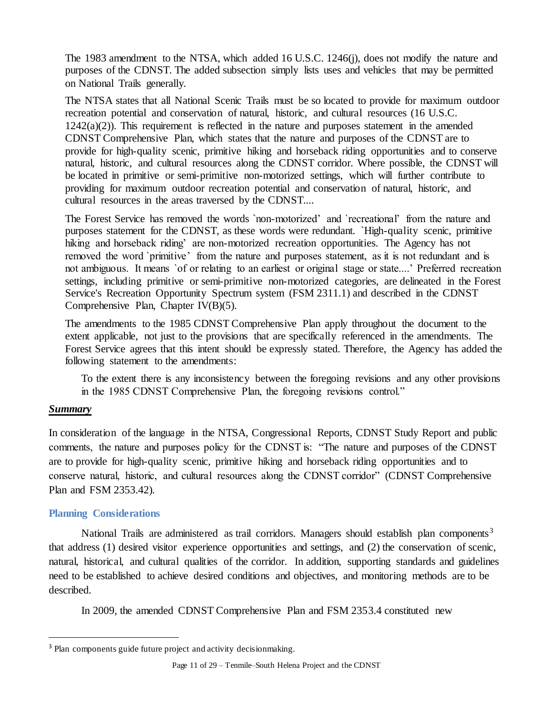The 1983 amendment to the NTSA, which added 16 U.S.C. 1246(j), does not modify the nature and purposes of the CDNST. The added subsection simply lists uses and vehicles that may be permitted on National Trails generally.

The NTSA states that all National Scenic Trails must be so located to provide for maximum outdoor recreation potential and conservation of natural, historic, and cultural resources (16 U.S.C.  $1242(a)(2)$ ). This requirement is reflected in the nature and purposes statement in the amended CDNST Comprehensive Plan, which states that the nature and purposes of the CDNST are to provide for high-quality scenic, primitive hiking and horseback riding opportunities and to conserve natural, historic, and cultural resources along the CDNST corridor. Where possible, the CDNST will be located in primitive or semi-primitive non-motorized settings, which will further contribute to providing for maximum outdoor recreation potential and conservation of natural, historic, and cultural resources in the areas traversed by the CDNST....

The Forest Service has removed the words `non-motorized' and `recreational' from the nature and purposes statement for the CDNST, as these words were redundant. `High-quality scenic, primitive hiking and horseback riding' are non-motorized recreation opportunities. The Agency has not removed the word `primitive' from the nature and purposes statement, as it is not redundant and is not ambiguous. It means `of or relating to an earliest or original stage or state....' Preferred recreation settings, including primitive or semi-primitive non-motorized categories, are delineated in the Forest Service's Recreation Opportunity Spectrum system (FSM 2311.1) and described in the CDNST Comprehensive Plan, Chapter IV(B)(5).

The amendments to the 1985 CDNST Comprehensive Plan apply throughout the document to the extent applicable, not just to the provisions that are specifically referenced in the amendments. The Forest Service agrees that this intent should be expressly stated. Therefore, the Agency has added the following statement to the amendments:

To the extent there is any inconsistency between the foregoing revisions and any other provisions in the 1985 CDNST Comprehensive Plan, the foregoing revisions control."

# *Summary*

 $\overline{a}$ 

In consideration of the language in the NTSA, Congressional Reports, CDNST Study Report and public comments, the nature and purposes policy for the CDNST is: "The nature and purposes of the CDNST are to provide for high-quality scenic, primitive hiking and horseback riding opportunities and to conserve natural, historic, and cultural resources along the CDNST corridor" (CDNST Comprehensive Plan and FSM 2353.42)*.*

# <span id="page-10-0"></span>**Planning Considerations**

National Trails are administered as trail corridors. Managers should establish plan components<sup>3</sup> that address (1) desired visitor experience opportunities and settings, and (2) the conservation of scenic, natural, historical, and cultural qualities of the corridor. In addition, supporting standards and guidelines need to be established to achieve desired conditions and objectives, and monitoring methods are to be described.

In 2009, the amended CDNST Comprehensive Plan and FSM 2353.4 constituted new

<sup>&</sup>lt;sup>3</sup> Plan components guide future project and activity decisionmaking.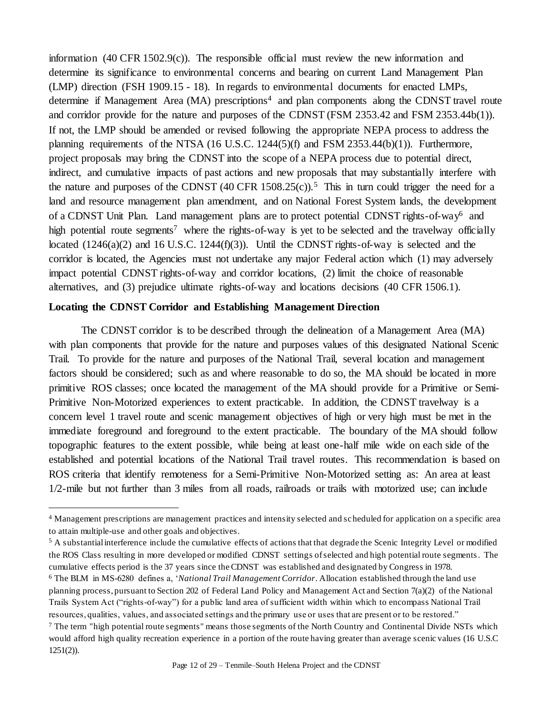information (40 CFR 1502.9(c)). The responsible official must review the new information and determine its significance to environmental concerns and bearing on current Land Management Plan (LMP) direction (FSH 1909.15 - 18). In regards to environmental documents for enacted LMPs, determine if Management Area (MA) prescriptions<sup>4</sup> and plan components along the CDNST travel route and corridor provide for the nature and purposes of the CDNST (FSM 2353.42 and FSM 2353.44b(1)). If not, the LMP should be amended or revised following the appropriate NEPA process to address the planning requirements of the NTSA (16 U.S.C. 1244(5)(f) and FSM 2353.44(b)(1)). Furthermore, project proposals may bring the CDNST into the scope of a NEPA process due to potential direct, indirect, and cumulative impacts of past actions and new proposals that may substantially interfere with the nature and purposes of the CDNST  $(40 \text{ CFR } 1508.25(c))$ .<sup>5</sup> This in turn could trigger the need for a land and resource management plan amendment, and on National Forest System lands, the development of a CDNST Unit Plan. Land management plans are to protect potential CDNST rights-of-way<sup>6</sup> and high potential route segments<sup>7</sup> where the rights-of-way is yet to be selected and the travelway officially located (1246(a)(2) and 16 U.S.C. 1244(f)(3)). Until the CDNST rights-of-way is selected and the corridor is located, the Agencies must not undertake any major Federal action which (1) may adversely impact potential CDNST rights-of-way and corridor locations, (2) limit the choice of reasonable alternatives, and (3) prejudice ultimate rights-of-way and locations decisions (40 CFR 1506.1).

### **Locating the CDNST Corridor and Establishing Management Direction**

 $\overline{a}$ 

The CDNST corridor is to be described through the delineation of a Management Area (MA) with plan components that provide for the nature and purposes values of this designated National Scenic Trail. To provide for the nature and purposes of the National Trail, several location and management factors should be considered; such as and where reasonable to do so, the MA should be located in more primitive ROS classes; once located the management of the MA should provide for a Primitive or Semi-Primitive Non-Motorized experiences to extent practicable. In addition, the CDNST travelway is a concern level 1 travel route and scenic management objectives of high or very high must be met in the immediate foreground and foreground to the extent practicable. The boundary of the MA should follow topographic features to the extent possible, while being at least one-half mile wide on each side of the established and potential locations of the National Trail travel routes. This recommendation is based on ROS criteria that identify remoteness for a Semi-Primitive Non-Motorized setting as: An area at least 1/2-mile but not further than 3 miles from all roads, railroads or trails with motorized use; can include

<sup>4</sup> Management prescriptions are management practices and intensity selected and scheduled for application on a specific area to attain multiple-use and other goals and objectives.

<sup>&</sup>lt;sup>5</sup> A substantial interference include the cumulative effects of actions that that degrade the Scenic Integrity Level or modified the ROS Class resulting in more developed or modified CDNST settings of selected and high potential route segments. The cumulative effects period is the 37 years since the CDNST was established and designated by Congress in 1978.

<sup>6</sup> The BLM in MS-6280 defines a, '*National Trail Management Corridor*. Allocation established through the land use planning process, pursuant to Section 202 of Federal Land Policy and Management Act and Section 7(a)(2) of the National Trails System Act ("rights-of-way") for a public land area of sufficient width within which to encompass National Trail resources, qualities, values, and associated settings and the primary use or uses that are present or to be restored."

 $<sup>7</sup>$  The term "high potential route segments" means those segments of the North Country and Continental Divide NSTs which</sup> would afford high quality recreation experience in a portion of the route having greater than average scenic values (16 U.S.C  $1251(2)$ ).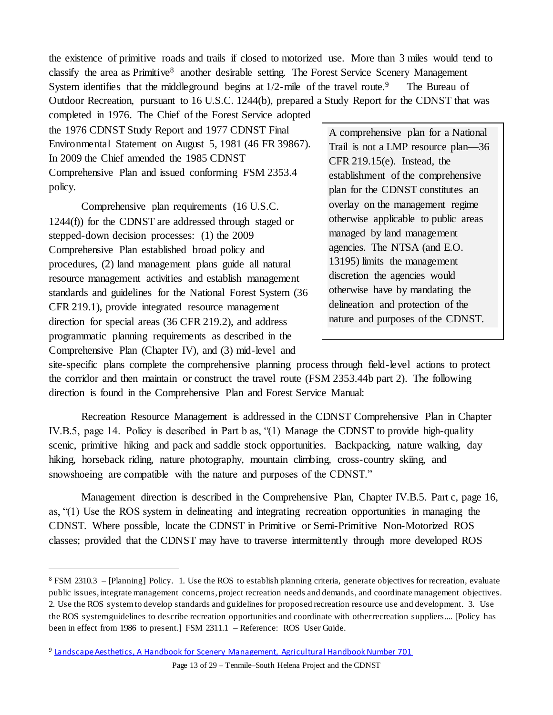the existence of primitive roads and trails if closed to motorized use. More than 3 miles would tend to classify the area as Primitive<sup>8</sup> another desirable setting. The Forest Service Scenery Management System identifies that the middle ground begins at  $1/2$ -mile of the travel route.<sup>9</sup> The Bureau of Outdoor Recreation, pursuant to 16 U.S.C. 1244(b), prepared a Study Report for the CDNST that was

completed in 1976. The Chief of the Forest Service adopted the 1976 CDNST Study Report and 1977 CDNST Final Environmental Statement on August 5, 1981 (46 FR 39867). In 2009 the Chief amended the 1985 CDNST Comprehensive Plan and issued conforming FSM 2353.4 policy.

Comprehensive plan requirements (16 U.S.C. 1244(f)) for the CDNST are addressed through staged or stepped-down decision processes: (1) the 2009 Comprehensive Plan established broad policy and procedures, (2) land management plans guide all natural resource management activities and establish management standards and guidelines for the National Forest System (36 CFR 219.1), provide integrated resource management direction for special areas (36 CFR 219.2), and address programmatic planning requirements as described in the Comprehensive Plan (Chapter IV), and (3) mid-level and

 $\overline{a}$ 

A comprehensive plan for a National Trail is not a LMP resource plan—36 CFR 219.15(e). Instead, the establishment of the comprehensive plan for the CDNST constitutes an overlay on the management regime otherwise applicable to public areas managed by land management agencies. The NTSA (and E.O. 13195) limits the management discretion the agencies would otherwise have by mandating the delineation and protection of the nature and purposes of the CDNST.

site-specific plans complete the comprehensive planning process through field-level actions to protect the corridor and then maintain or construct the travel route (FSM 2353.44b part 2). The following direction is found in the Comprehensive Plan and Forest Service Manual:

Recreation Resource Management is addressed in the CDNST Comprehensive Plan in Chapter IV.B.5, page 14. Policy is described in Part b as, "(1) Manage the CDNST to provide high-quality scenic, primitive hiking and pack and saddle stock opportunities. Backpacking, nature walking, day hiking, horseback riding, nature photography, mountain climbing, cross-country skiing, and snowshoeing are compatible with the nature and purposes of the CDNST."

Management direction is described in the Comprehensive Plan, Chapter IV.B.5. Part c, page 16, as, "(1) Use the ROS system in delineating and integrating recreation opportunities in managing the CDNST. Where possible, locate the CDNST in Primitive or Semi-Primitive Non-Motorized ROS classes; provided that the CDNST may have to traverse intermittently through more developed ROS

Page 13 of 29 – Tenmile–South Helena Project and the CDNST

<sup>8</sup> FSM 2310.3 – [Planning] Policy. 1. Use the ROS to establish planning criteria, generate objectives for recreation, evaluate public issues, integrate management concerns, project recreation needs and demands, and coordinate management objectives. 2. Use the ROS system to develop standards and guidelines for proposed recreation resource use and development. 3. Use the ROS system guidelines to describe recreation opportunities and coordinate with other recreation suppliers.... [Policy has been in effect from 1986 to present.] FSM 2311.1 – Reference: [ROS User Guide.](http://www.fs.fed.us/cdt/carrying_capacity/rosguide_1982.pdf) 

<sup>9</sup> [Landscape Aesthetics, A Handbook for Scenery Management, Agricultural Handbook Number 701](http://www.fs.fed.us/cdt/carrying_capacity/landscape_aesthetics_handbook_701_no_append.pdf)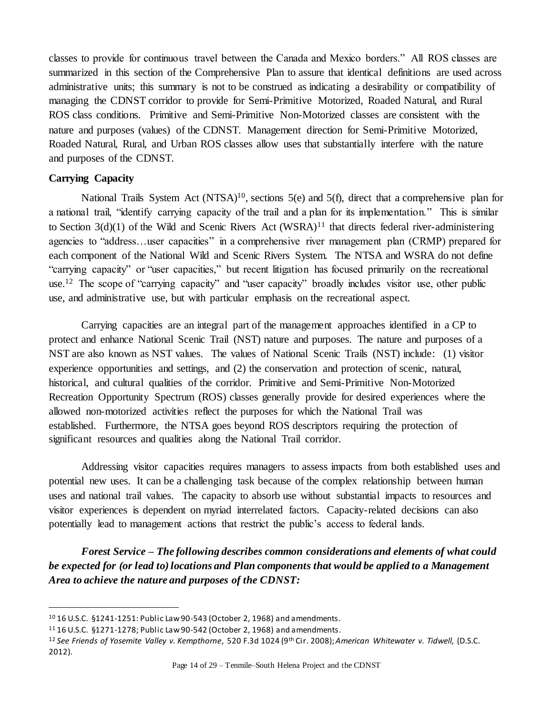classes to provide for continuous travel between the Canada and Mexico borders." All ROS classes are summarized in this section of the Comprehensive Plan to assure that identical definitions are used across administrative units; this summary is not to be construed as indicating a desirability or compatibility of managing the CDNST corridor to provide for Semi-Primitive Motorized, Roaded Natural, and Rural ROS class conditions. Primitive and Semi-Primitive Non-Motorized classes are consistent with the nature and purposes (values) of the CDNST. Management direction for Semi-Primitive Motorized, Roaded Natural, Rural, and Urban ROS classes allow uses that substantially interfere with the nature and purposes of the CDNST.

# **Carrying Capacity**

 $\overline{a}$ 

National Trails System Act  $(NTSA)^{10}$ , sections 5(e) and 5(f), direct that a comprehensive plan for a national trail, "identify carrying capacity of the trail and a plan for its implementation." This is similar to Section  $3(d)(1)$  of the Wild and Scenic Rivers Act (WSRA)<sup>11</sup> that directs federal river-administering agencies to "address…user capacities" in a comprehensive river management plan (CRMP) prepared for each component of the National Wild and Scenic Rivers System. The NTSA and WSRA do not define "carrying capacity" or "user capacities," but recent litigation has focused primarily on the recreational use.<sup>12</sup> The scope of "carrying capacity" and "user capacity" broadly includes visitor use, other public use, and administrative use, but with particular emphasis on the recreational aspect.

Carrying capacities are an integral part of the management approaches identified in a CP to protect and enhance National Scenic Trail (NST) nature and purposes. The nature and purposes of a NST are also known as NST values. The values of National Scenic Trails (NST) include: (1) visitor experience opportunities and settings, and (2) the conservation and protection of scenic, natural, historical, and cultural qualities of the corridor. Primitive and Semi-Primitive Non-Motorized Recreation Opportunity Spectrum (ROS) classes generally provide for desired experiences where the allowed non-motorized activities reflect the purposes for which the National Trail was established. Furthermore, the NTSA goes beyond ROS descriptors requiring the protection of significant resources and qualities along the National Trail corridor.

Addressing visitor capacities requires managers to assess impacts from both established uses and potential new uses. It can be a challenging task because of the complex relationship between human uses and national trail values. The capacity to absorb use without substantial impacts to resources and visitor experiences is dependent on myriad interrelated factors. Capacity-related decisions can also potentially lead to management actions that restrict the public's access to federal lands.

*Forest Service – The following describes common considerations and elements of what could be expected for (or lead to) locations and Plan components that would be applied to a Management Area to achieve the nature and purposes of the CDNST:*

<sup>10</sup> 16 U.S.C. §1241-1251: Public Law 90-543 (October 2, 1968) and amendments.

<sup>11</sup> 16 U.S.C. §1271-1278; Public Law 90-542 (October 2, 1968) and amendments.

<sup>12</sup> *See Friends of Yosemite Valley v. Kempthorne*, 520 F.3d 1024 (9th Cir. 2008); *American Whitewater v. Tidwell,* (D.S.C. 2012).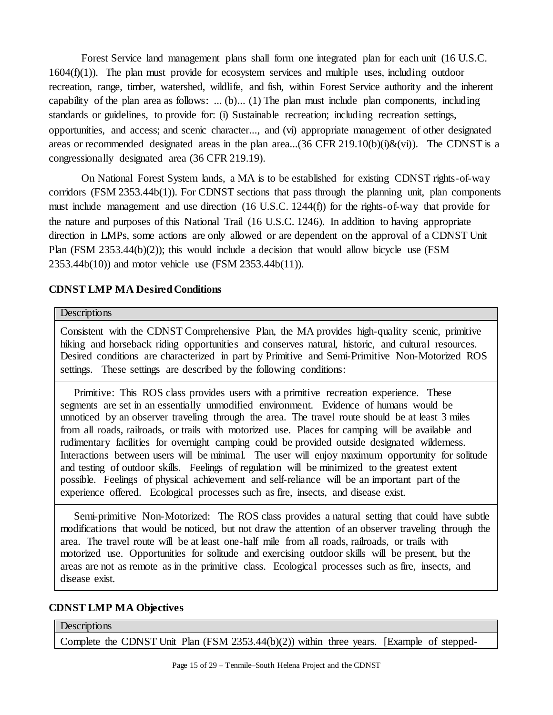Forest Service land management plans shall form one integrated plan for each unit (16 U.S.C. 1604(f)(1)). The plan must provide for ecosystem services and multiple uses, including outdoor recreation, range, timber, watershed, wildlife, and fish, within Forest Service authority and the inherent capability of the plan area as follows: ... (b)... (1) The plan must include plan components, including standards or guidelines, to provide for: (i) Sustainable recreation; including recreation settings, opportunities, and access; and scenic character..., and (vi) appropriate management of other designated areas or recommended designated areas in the plan area...(36 CFR 219.10(b)(i)&(vi)). The CDNST is a congressionally designated area (36 CFR 219.19).

On National Forest System lands, a MA is to be established for existing CDNST rights-of-way corridors (FSM 2353.44b(1)). For CDNST sections that pass through the planning unit, plan components must include management and use direction (16 U.S.C. 1244(f)) for the rights-of-way that provide for the nature and purposes of this National Trail (16 U.S.C. 1246). In addition to having appropriate direction in LMPs, some actions are only allowed or are dependent on the approval of a CDNST Unit Plan (FSM 2353.44(b)(2)); this would include a decision that would allow bicycle use (FSM 2353.44b(10)) and motor vehicle use (FSM 2353.44b(11)).

# **CDNST LMP MA Desired Conditions**

### **Descriptions**

Consistent with the CDNST Comprehensive Plan, the MA provides high-quality scenic, primitive hiking and horseback riding opportunities and conserves natural, historic, and cultural resources. Desired conditions are characterized in part by Primitive and Semi-Primitive Non-Motorized ROS settings. These settings are described by the following conditions:

 Primitive: This ROS class provides users with a primitive recreation experience. These segments are set in an essentially unmodified environment. Evidence of humans would be unnoticed by an observer traveling through the area. The travel route should be at least 3 miles from all roads, railroads, or trails with motorized use. Places for camping will be available and rudimentary facilities for overnight camping could be provided outside designated wilderness. Interactions between users will be minimal. The user will enjoy maximum opportunity for solitude and testing of outdoor skills. Feelings of regulation will be minimized to the greatest extent possible. Feelings of physical achievement and self-reliance will be an important part of the experience offered. Ecological processes such as fire, insects, and disease exist.

 Semi-primitive Non-Motorized: The ROS class provides a natural setting that could have subtle modifications that would be noticed, but not draw the attention of an observer traveling through the area. The travel route will be at least one-half mile from all roads, railroads, or trails with motorized use. Opportunities for solitude and exercising outdoor skills will be present, but the areas are not as remote as in the primitive class. Ecological processes such as fire, insects, and disease exist.

### **CDNST LMP MA Objectives**

### **Descriptions**

Complete the CDNST Unit Plan (FSM 2353.44(b)(2)) within three years. [Example of stepped-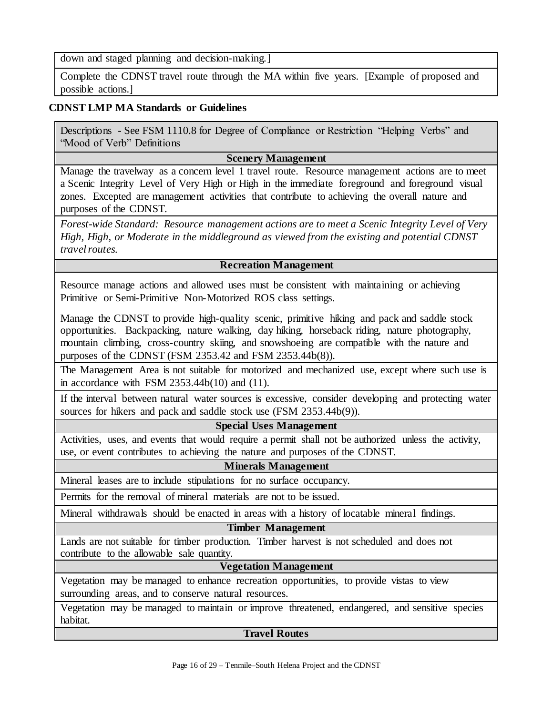down and staged planning and decision-making.]

Complete the CDNST travel route through the MA within five years. [Example of proposed and possible actions.]

# **CDNST LMP MA Standards or Guidelines**

Descriptions - See FSM 1110.8 for Degree of Compliance or Restriction "Helping Verbs" and "Mood of Verb" Definitions

### **Scenery Management**

Manage the travelway as a concern level 1 travel route. Resource management actions are to meet a Scenic Integrity Level of Very High or High in the immediate foreground and foreground visual zones. Excepted are management activities that contribute to achieving the overall nature and purposes of the CDNST.

*Forest-wide Standard: Resource management actions are to meet a Scenic Integrity Level of Very High, High, or Moderate in the middleground as viewed from the existing and potential CDNST travel routes.*

### **Recreation Management**

Resource manage actions and allowed uses must be consistent with maintaining or achieving Primitive or Semi-Primitive Non-Motorized ROS class settings.

Manage the CDNST to provide high-quality scenic, primitive hiking and pack and saddle stock opportunities. Backpacking, nature walking, day hiking, horseback riding, nature photography, mountain climbing, cross-country skiing, and snowshoeing are compatible with the nature and purposes of the CDNST (FSM 2353.42 and FSM 2353.44b(8)).

The Management Area is not suitable for motorized and mechanized use, except where such use is in accordance with FSM  $2353.44b(10)$  and  $(11)$ .

If the interval between natural water sources is excessive, consider developing and protecting water sources for hikers and pack and saddle stock use (FSM 2353.44b(9)).

### **Special Uses Management**

Activities, uses, and events that would require a permit shall not be authorized unless the activity, use, or event contributes to achieving the nature and purposes of the CDNST.

## **Minerals Management**

Mineral leases are to include stipulations for no surface occupancy.

Permits for the removal of mineral materials are not to be issued.

Mineral withdrawals should be enacted in areas with a history of locatable mineral findings.

# **Timber Management**

Lands are not suitable for timber production. Timber harvest is not scheduled and does not contribute to the allowable sale quantity.

## **Vegetation Management**

Vegetation may be managed to enhance recreation opportunities, to provide vistas to view surrounding areas, and to conserve natural resources.

Vegetation may be managed to maintain or improve threatened, endangered, and sensitive species habitat.

#### **Travel Routes**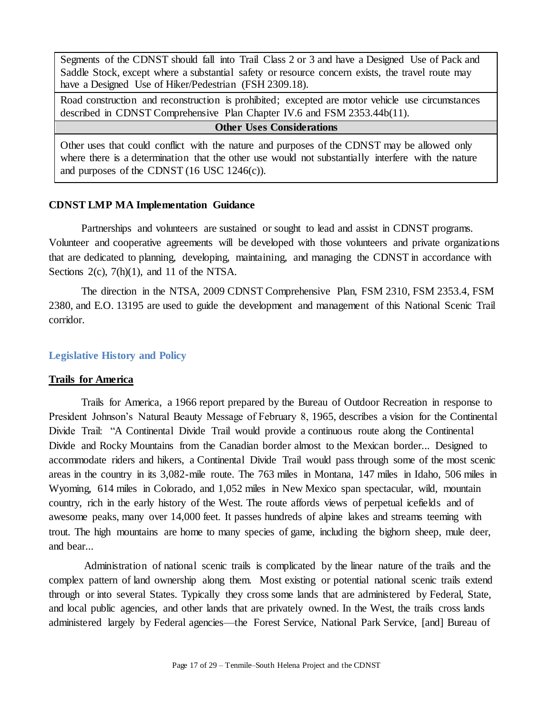Segments of the CDNST should fall into Trail Class 2 or 3 and have a Designed Use of Pack and Saddle Stock, except where a substantial safety or resource concern exists, the travel route may have a Designed Use of Hiker/Pedestrian (FSH 2309.18).

Road construction and reconstruction is prohibited; excepted are motor vehicle use circumstances described in CDNST Comprehensive Plan Chapter IV.6 and FSM 2353.44b(11).

#### **Other Uses Considerations**

Other uses that could conflict with the nature and purposes of the CDNST may be allowed only where there is a determination that the other use would not substantially interfere with the nature and purposes of the CDNST (16 USC 1246(c)).

#### **CDNST LMP MA Implementation Guidance**

Partnerships and volunteers are sustained or sought to lead and assist in CDNST programs. Volunteer and cooperative agreements will be developed with those volunteers and private organizations that are dedicated to planning, developing, maintaining, and managing the CDNST in accordance with Sections 2(c), 7(h)(1), and 11 of the NTSA.

The direction in the NTSA, 2009 CDNST Comprehensive Plan, FSM 2310, FSM 2353.4, FSM 2380, and E.O. 13195 are used to guide the development and management of this National Scenic Trail corridor.

#### <span id="page-16-0"></span>**Legislative History and Policy**

#### **Trails for America**

Trails for America, a 1966 report prepared by the Bureau of Outdoor Recreation in response to President Johnson's Natural Beauty Message of February 8, 1965, describes a vision for the Continental Divide Trail: "A Continental Divide Trail would provide a continuous route along the Continental Divide and Rocky Mountains from the Canadian border almost to the Mexican border... Designed to accommodate riders and hikers, a Continental Divide Trail would pass through some of the most scenic areas in the country in its 3,082-mile route. The 763 miles in Montana, 147 miles in Idaho, 506 miles in Wyoming, 614 miles in Colorado, and 1,052 miles in New Mexico span spectacular, wild, mountain country, rich in the early history of the West. The route affords views of perpetual icefields and of awesome peaks, many over 14,000 feet. It passes hundreds of alpine lakes and streams teeming with trout. The high mountains are home to many species of game, including the bighorn sheep, mule deer, and bear...

Administration of national scenic trails is complicated by the linear nature of the trails and the complex pattern of land ownership along them. Most existing or potential national scenic trails extend through or into several States. Typically they cross some lands that are administered by Federal, State, and local public agencies, and other lands that are privately owned. In the West, the trails cross lands administered largely by Federal agencies—the Forest Service, National Park Service, [and] Bureau of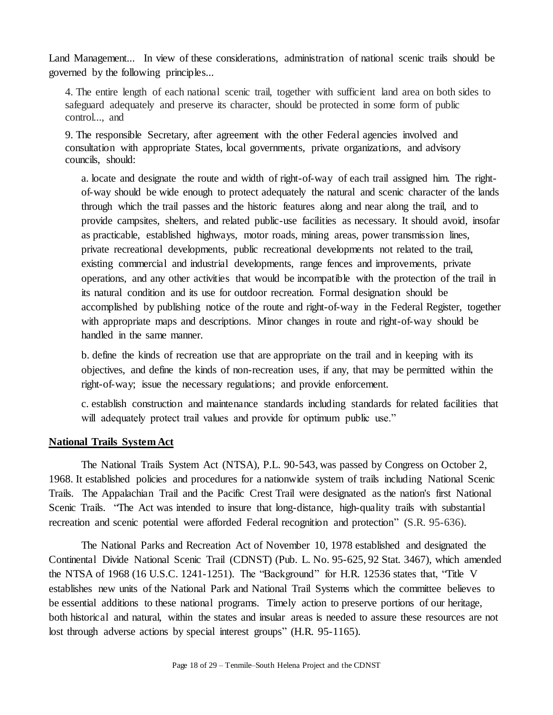Land Management... In view of these considerations, administration of national scenic trails should be governed by the following principles...

4. The entire length of each national scenic trail, together with sufficient land area on both sides to safeguard adequately and preserve its character, should be protected in some form of public control..., and

9. The responsible Secretary, after agreement with the other Federal agencies involved and consultation with appropriate States, local governments, private organizations, and advisory councils, should:

a. locate and designate the route and width of right-of-way of each trail assigned him. The rightof-way should be wide enough to protect adequately the natural and scenic character of the lands through which the trail passes and the historic features along and near along the trail, and to provide campsites, shelters, and related public-use facilities as necessary. It should avoid, insofar as practicable, established highways, motor roads, mining areas, power transmission lines, private recreational developments, public recreational developments not related to the trail, existing commercial and industrial developments, range fences and improvements, private operations, and any other activities that would be incompatible with the protection of the trail in its natural condition and its use for outdoor recreation. Formal designation should be accomplished by publishing notice of the route and right-of-way in the Federal Register, together with appropriate maps and descriptions. Minor changes in route and right-of-way should be handled in the same manner.

b. define the kinds of recreation use that are appropriate on the trail and in keeping with its objectives, and define the kinds of non-recreation uses, if any, that may be permitted within the right-of-way; issue the necessary regulations; and provide enforcement.

c. establish construction and maintenance standards including standards for related facilities that will adequately protect trail values and provide for optimum public use."

# **National Trails System Act**

The National Trails System Act (NTSA), P.L. 90-543, was passed by Congress on October 2, 1968. It established policies and procedures for a nationwide system of trails including National Scenic Trails. The Appalachian Trail and the Pacific Crest Trail were designated as the nation's first National Scenic Trails. "The Act was intended to insure that long-distance, high-quality trails with substantial recreation and scenic potential were afforded Federal recognition and protection" (S.R. 95-636).

The National Parks and Recreation Act of November 10, 1978 established and designated the Continental Divide National Scenic Trail (CDNST) (Pub. L. No. 95-625, 92 Stat. 3467), which amended the NTSA of 1968 (16 U.S.C. 1241-1251). The "Background" for H.R. 12536 states that, "Title V establishes new units of the National Park and National Trail Systems which the committee believes to be essential additions to these national programs. Timely action to preserve portions of our heritage, both historical and natural, within the states and insular areas is needed to assure these resources are not lost through adverse actions by special interest groups" (H.R. 95-1165).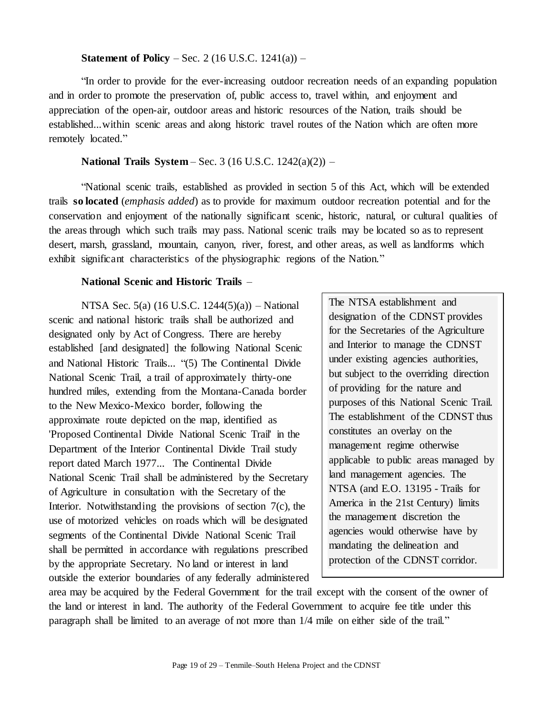#### **Statement of Policy** – Sec. 2 (16 U.S.C. 1241(a)) –

"In order to provide for the ever-increasing outdoor recreation needs of an expanding population and in order to promote the preservation of, public access to, travel within, and enjoyment and appreciation of the open-air, outdoor areas and historic resources of the Nation, trails should be established...within scenic areas and along historic travel routes of the Nation which are often more remotely located."

## **National Trails System** – Sec. 3 (16 U.S.C. 1242(a)(2)) –

"National scenic trails, established as provided in section 5 of this Act, which will be extended trails **so located** (*emphasis added*) as to provide for maximum outdoor recreation potential and for the conservation and enjoyment of the nationally significant scenic, historic, natural, or cultural qualities of the areas through which such trails may pass. National scenic trails may be located so as to represent desert, marsh, grassland, mountain, canyon, river, forest, and other areas, as well as landforms which exhibit significant characteristics of the physiographic regions of the Nation."

#### **National Scenic and Historic Trails** –

NTSA Sec. 5(a) (16 U.S.C. 1244(5)(a)) – National scenic and national historic trails shall be authorized and designated only by Act of Congress. There are hereby established [and designated] the following National Scenic and National Historic Trails... "(5) The Continental Divide National Scenic Trail, a trail of approximately thirty-one hundred miles, extending from the Montana-Canada border to the New Mexico-Mexico border, following the approximate route depicted on the map, identified as 'Proposed Continental Divide National Scenic Trail' in the Department of the Interior Continental Divide Trail study report dated March 1977... The Continental Divide National Scenic Trail shall be administered by the Secretary of Agriculture in consultation with the Secretary of the Interior. Notwithstanding the provisions of section 7(c), the use of motorized vehicles on roads which will be designated segments of the Continental Divide National Scenic Trail shall be permitted in accordance with regulations prescribed by the appropriate Secretary. No land or interest in land outside the exterior boundaries of any federally administered The NTSA establishment and designation of the CDNST provides for the Secretaries of the Agriculture and Interior to manage the CDNST under existing agencies authorities, but subject to the overriding direction of providing for the nature and purposes of this National Scenic Trail. The establishment of the CDNST thus constitutes an overlay on the management regime otherwise applicable to public areas managed by land management agencies. The NTSA (and E.O. 13195 - Trails for America in the 21st Century) limits the management discretion the agencies would otherwise have by mandating the delineation and protection of the CDNST corridor.

area may be acquired by the Federal Government for the trail except with the consent of the owner of the land or interest in land. The authority of the Federal Government to acquire fee title under this paragraph shall be limited to an average of not more than 1/4 mile on either side of the trail."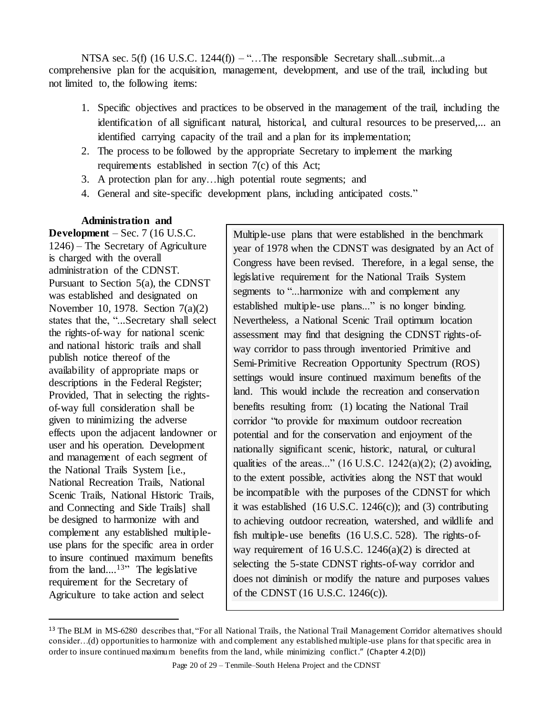NTSA sec. 5(f)  $(16 \text{ U.S.C. } 1244(f)) -$ "...The responsible Secretary shall...submit...a comprehensive plan for the acquisition, management, development, and use of the trail, including but not limited to, the following items:

- 1. Specific objectives and practices to be observed in the management of the trail, including the identification of all significant natural, historical, and cultural resources to be preserved,... an identified carrying capacity of the trail and a plan for its implementation;
- 2. The process to be followed by the appropriate Secretary to implement the marking requirements established in section 7(c) of this Act;
- 3. A protection plan for any…high potential route segments; and
- 4. General and site-specific development plans, including anticipated costs."

# **Administration and**

**Development** – Sec. 7 (16 U.S.C. 1246) – The Secretary of Agriculture is charged with the overall administration of the CDNST. Pursuant to Section 5(a), the CDNST was established and designated on November 10, 1978. Section 7(a)(2) states that the, "...Secretary shall select the rights-of-way for national scenic and national historic trails and shall publish notice thereof of the availability of appropriate maps or descriptions in the Federal Register; Provided, That in selecting the rightsof-way full consideration shall be given to minimizing the adverse effects upon the adjacent landowner or user and his operation. Development and management of each segment of the National Trails System [i.e., National Recreation Trails, National Scenic Trails, National Historic Trails, and Connecting and Side Trails] shall be designed to harmonize with and complement any established multipleuse plans for the specific area in order to insure continued maximum benefits from the land....<sup>13"</sup> The legislative requirement for the Secretary of Agriculture to take action and select

 $\overline{a}$ 

Multiple-use plans that were established in the benchmark year of 1978 when the CDNST was designated by an Act of Congress have been revised. Therefore, in a legal sense, the legislative requirement for the National Trails System segments to "...harmonize with and complement any established multiple-use plans..." is no longer binding. Nevertheless, a National Scenic Trail optimum location assessment may find that designing the CDNST rights-ofway corridor to pass through inventoried Primitive and Semi-Primitive Recreation Opportunity Spectrum (ROS) settings would insure continued maximum benefits of the land. This would include the recreation and conservation benefits resulting from: (1) locating the National Trail corridor "to provide for maximum outdoor recreation potential and for the conservation and enjoyment of the nationally significant scenic, historic, natural, or cultural qualities of the areas..." (16 U.S.C. 1242(a)(2); (2) avoiding, to the extent possible, activities along the NST that would be incompatible with the purposes of the CDNST for which it was established  $(16$  U.S.C. 1246 $(c)$ ); and  $(3)$  contributing to achieving outdoor recreation, watershed, and wildlife and fish multiple-use benefits (16 U.S.C. 528). The rights-ofway requirement of 16 U.S.C.  $1246(a)(2)$  is directed at selecting the 5-state CDNST rights-of-way corridor and does not diminish or modify the nature and purposes values of the CDNST (16 U.S.C. 1246(c)).

<sup>&</sup>lt;sup>13</sup> The BLM in MS-6280 describes that, "For all National Trails, the National Trail Management Corridor alternatives should consider…(d) opportunities to harmonize with and complement any established multiple-use plans for that specific area in order to insure continued maximum benefits from the land, while minimizing conflict." (Chapter 4.2(D))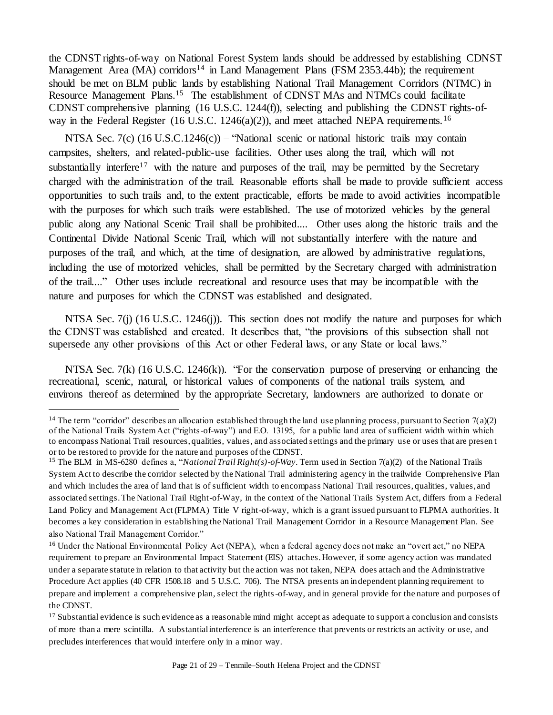the CDNST rights-of-way on National Forest System lands should be addressed by establishing CDNST Management Area (MA) corridors<sup>14</sup> in Land Management Plans (FSM 2353.44b); the requirement should be met on BLM public lands by establishing National Trail Management Corridors (NTMC) in Resource Management Plans.<sup>15</sup> The establishment of CDNST MAs and NTMCs could facilitate CDNST comprehensive planning (16 U.S.C. 1244(f)), selecting and publishing the CDNST rights-ofway in the Federal Register (16 U.S.C. 1246(a)(2)), and meet attached NEPA requirements.<sup>16</sup>

NTSA Sec. 7(c) (16 U.S.C.1246(c)) – "National scenic or national historic trails may contain campsites, shelters, and related-public-use facilities. Other uses along the trail, which will not substantially interfere<sup>17</sup> with the nature and purposes of the trail, may be permitted by the Secretary charged with the administration of the trail. Reasonable efforts shall be made to provide sufficient access opportunities to such trails and, to the extent practicable, efforts be made to avoid activities incompatible with the purposes for which such trails were established. The use of motorized vehicles by the general public along any National Scenic Trail shall be prohibited.... Other uses along the historic trails and the Continental Divide National Scenic Trail, which will not substantially interfere with the nature and purposes of the trail, and which, at the time of designation, are allowed by administrative regulations, including the use of motorized vehicles, shall be permitted by the Secretary charged with administration of the trail...." Other uses include recreational and resource uses that may be incompatible with the nature and purposes for which the CDNST was established and designated.

NTSA Sec. 7(j) (16 U.S.C. 1246(j)). This section does not modify the nature and purposes for which the CDNST was established and created. It describes that, "the provisions of this subsection shall not supersede any other provisions of this Act or other Federal laws, or any State or local laws."

NTSA Sec. 7(k) (16 U.S.C. 1246(k)). "For the conservation purpose of preserving or enhancing the recreational, scenic, natural, or historical values of components of the national trails system, and environs thereof as determined by the appropriate Secretary, landowners are authorized to donate or

 $\overline{a}$ 

<sup>&</sup>lt;sup>14</sup> The term "corridor" describes an allocation established through the land use planning process, pursuant to Section 7(a)(2) of the National Trails System Act ("rights-of-way") and E.O. 13195, for a public land area of sufficient width within which to encompass National Trail resources, qualities, values, and associated settings and the primary use or uses that are presen t or to be restored to provide for the nature and purposes of the CDNST.

<sup>15</sup> The BLM in MS-6280 defines a, "*National Trail Right(s)-of-Way*. Term used in Section 7(a)(2) of the National Trails System Act to describe the corridor selected by the National Trail administering agency in the trailwide Comprehensive Plan and which includes the area of land that is of sufficient width to encompass National Trail resources, qualities, values, and associated settings. The National Trail Right-of-Way, in the context of the National Trails System Act, differs from a Federal Land Policy and Management Act (FLPMA) Title V right-of-way, which is a grant issued pursuant to FLPMA authorities. It becomes a key consideration in establishing the National Trail Management Corridor in a Resource Management Plan. See also National Trail Management Corridor."

<sup>&</sup>lt;sup>16</sup> Under the National Environmental Policy Act (NEPA), when a federal agency does not make an "overt act," no NEPA requirement to prepare an Environmental Impact Statement (EIS) attaches. However, if some agency action was mandated under a separate statute in relation to that activity but the action was not taken, NEPA does attach and the Administrative Procedure Act applies (40 CFR 1508.18 and 5 U.S.C. 706). The NTSA presents an independent planning requirement to prepare and implement a comprehensive plan, select the rights-of-way, and in general provide for the nature and purposes of the CDNST.

<sup>&</sup>lt;sup>17</sup> Substantial evidence is such evidence as a reasonable mind might accept as adequate to support a conclusion and consists of more than a mere scintilla. A substantial interference is an interference that prevents or restricts an activity or use, and precludes interferences that would interfere only in a minor way.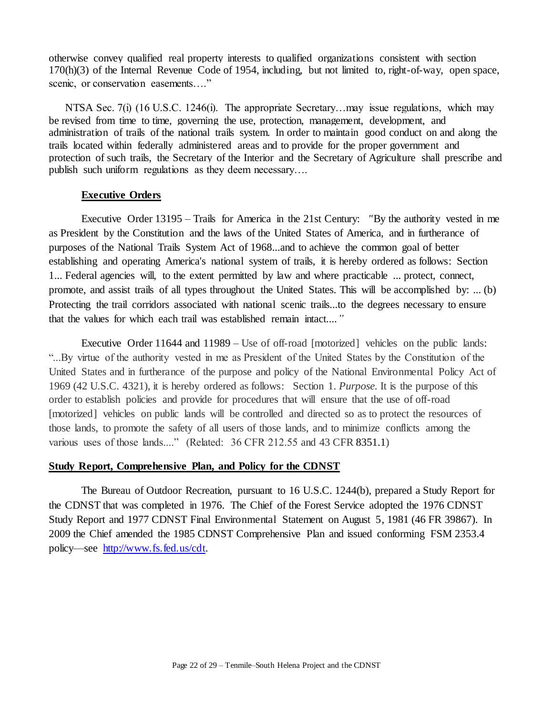otherwise convey qualified real property interests to qualified organizations consistent with section  $170(h)(3)$  of the Internal Revenue Code of 1954, including, but not limited to, right-of-way, open space, scenic, or conservation easements...."

NTSA Sec. 7(i) (16 U.S.C. 1246(i). The appropriate Secretary...may issue regulations, which may be revised from time to time, governing the use, protection, management, development, and administration of trails of the national trails system. In order to maintain good conduct on and along the trails located within federally administered areas and to provide for the proper government and protection of such trails, the Secretary of the Interior and the Secretary of Agriculture shall prescribe and publish such uniform regulations as they deem necessary….

#### **Executive Orders**

Executive Order 13195 – Trails for America in the 21st Century: *"*By the authority vested in me as President by the Constitution and the laws of the United States of America, and in furtherance of purposes of the National Trails System Act of 1968...and to achieve the common goal of better establishing and operating America's national system of trails, it is hereby ordered as follows: Section 1... Federal agencies will, to the extent permitted by law and where practicable ... protect, connect, promote, and assist trails of all types throughout the United States. This will be accomplished by: ... (b) Protecting the trail corridors associated with national scenic trails...to the degrees necessary to ensure that the values for which each trail was established remain intact....*"*

Executive Order 11644 and 11989 – Use of off-road [motorized] vehicles on the public lands: "...By virtue of the authority vested in me as President of the United States by the Constitution of the United States and in furtherance of the purpose and policy of the National Environmental Policy Act of 1969 (42 U.S.C. 4321), it is hereby ordered as follows: Section 1. *Purpose.* It is the purpose of this order to establish policies and provide for procedures that will ensure that the use of off-road [motorized] vehicles on public lands will be controlled and directed so as to protect the resources of those lands, to promote the safety of all users of those lands, and to minimize conflicts among the various uses of those lands...." (Related: 36 CFR 212.55 and 43 CFR 8351.1)

#### **Study Report, Comprehensive Plan, and Policy for the CDNST**

The Bureau of Outdoor Recreation, pursuant to 16 U.S.C. 1244(b), prepared a Study Report for the CDNST that was completed in 1976. The Chief of the Forest Service adopted the 1976 CDNST Study Report and 1977 CDNST Final Environmental Statement on August 5, 1981 (46 FR 39867). In 2009 the Chief amended the 1985 CDNST Comprehensive Plan and issued conforming FSM 2353.4 policy—see [http://www.fs.fed.us/cdt.](http://www.fs.fed.us/cdt)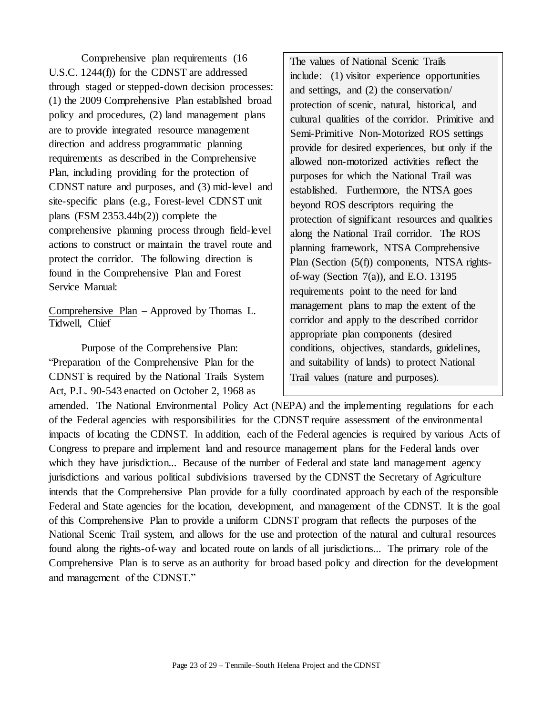Comprehensive plan requirements (16 U.S.C. 1244(f)) for the CDNST are addressed through staged or stepped-down decision processes: (1) the 2009 Comprehensive Plan established broad policy and procedures, (2) land management plans are to provide integrated resource management direction and address programmatic planning requirements as described in the Comprehensive Plan, including providing for the protection of CDNST nature and purposes, and (3) mid-level and site-specific plans (e.g., Forest-level CDNST unit plans (FSM 2353.44b(2)) complete the comprehensive planning process through field-level actions to construct or maintain the travel route and protect the corridor. The following direction is found in the Comprehensive Plan and Forest Service Manual:

Comprehensive Plan – Approved by Thomas L. Tidwell, Chief

Purpose of the Comprehensive Plan: "Preparation of the Comprehensive Plan for the CDNST is required by the National Trails System Act, P.L. 90-543 enacted on October 2, 1968 as

The values of National Scenic Trails include: (1) visitor experience opportunities and settings, and (2) the conservation/ protection of scenic, natural, historical, and cultural qualities of the corridor. Primitive and Semi-Primitive Non-Motorized ROS settings provide for desired experiences, but only if the allowed non-motorized activities reflect the purposes for which the National Trail was established. Furthermore, the NTSA goes beyond ROS descriptors requiring the protection of significant resources and qualities along the National Trail corridor. The ROS planning framework, NTSA Comprehensive Plan (Section (5(f)) components, NTSA rightsof-way (Section 7(a)), and E.O. 13195 requirements point to the need for land management plans to map the extent of the corridor and apply to the described corridor appropriate plan components (desired conditions, objectives, standards, guidelines, and suitability of lands) to protect National Trail values (nature and purposes).

amended. The National Environmental Policy Act (NEPA) and the implementing regulations for each of the Federal agencies with responsibilities for the CDNST require assessment of the environmental impacts of locating the CDNST. In addition, each of the Federal agencies is required by various Acts of Congress to prepare and implement land and resource management plans for the Federal lands over which they have jurisdiction... Because of the number of Federal and state land management agency jurisdictions and various political subdivisions traversed by the CDNST the Secretary of Agriculture intends that the Comprehensive Plan provide for a fully coordinated approach by each of the responsible Federal and State agencies for the location, development, and management of the CDNST. It is the goal of this Comprehensive Plan to provide a uniform CDNST program that reflects the purposes of the National Scenic Trail system, and allows for the use and protection of the natural and cultural resources found along the rights-of-way and located route on lands of all jurisdictions... The primary role of the Comprehensive Plan is to serve as an authority for broad based policy and direction for the development and management of the CDNST."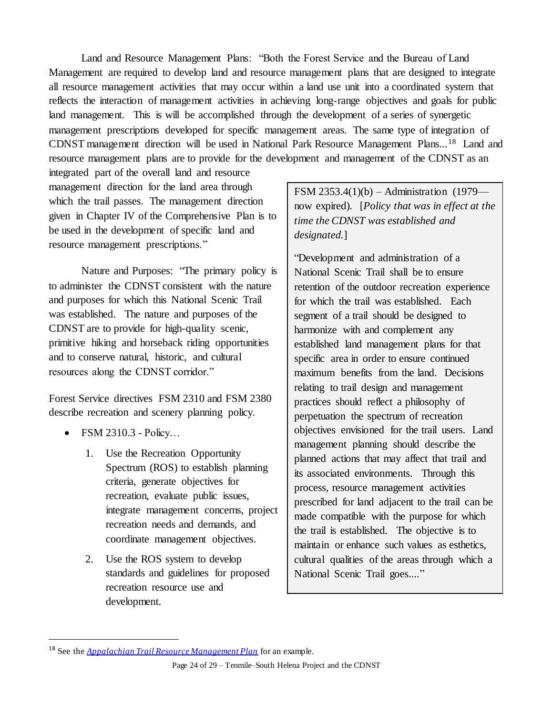Land and Resource Management Plans: "Both the Forest Service and the Bureau of Land Management are required to develop land and resource management plans that are designed to integrate all resource management activities that may occur within a land use unit into a coordinated system that reflects the interaction of management activities in achieving long-range objectives and goals for public land management. This is will be accomplished through the development of a series of synergetic management prescriptions developed for specific management areas. The same type of integration of CDNST management direction will be used in National Park Resource Management Plans...<sup>18</sup> Land and resource management plans are to provide for the development and management of the CDNST as an

integrated part of the overall land and resource management direction for the land area through which the trail passes. The management direction given in Chapter IV of the Comprehensive Plan is to be used in the development of specific land and resource management prescriptions."

Nature and Purposes: "The primary policy is to administer the CDNST consistent with the nature and purposes for which this National Scenic Trail was established. The nature and purposes of the CDNST are to provide for high-quality scenic, primitive hiking and horseback riding opportunities and to conserve natural, historic, and cultural resources along the CDNST corridor."

Forest Service directives FSM 2310 and FSM 2380 describe recreation and scenery planning policy.

FSM 2310.3 - Policy…

 $\overline{a}$ 

- 1. Use the Recreation Opportunity Spectrum (ROS) to establish planning criteria, generate objectives for recreation, evaluate public issues, integrate management concerns, project recreation needs and demands, and coordinate management objectives.
- 2. Use the ROS system to develop standards and guidelines for proposed recreation resource use and development.

FSM 2353.4(1)(b) – Administration (1979 now expired). [*Policy that was in effect at the time the CDNST was established and designated.*]

"Development and administration of a National Scenic Trail shall be to ensure retention of the outdoor recreation experience for which the trail was established. Each segment of a trail should be designed to harmonize with and complement any established land management plans for that specific area in order to ensure continued maximum benefits from the land. Decisions relating to trail design and management practices should reflect a philosophy of perpetuation the spectrum of recreation objectives envisioned for the trail users. Land management planning should describe the planned actions that may affect that trail and its associated environments. Through this process, resource management activities prescribed for land adjacent to the trail can be made compatible with the purpose for which the trail is established. The objective is to maintain or enhance such values as esthetics, cultural qualities of the areas through which a National Scenic Trail goes...."

<sup>18</sup> See the *[Appalachian Trail Resource Management Plan](http://www.nps.gov/appa/naturescience/upload/AT_Resource_Management_Plan_Ch_1.pdf)* for an example.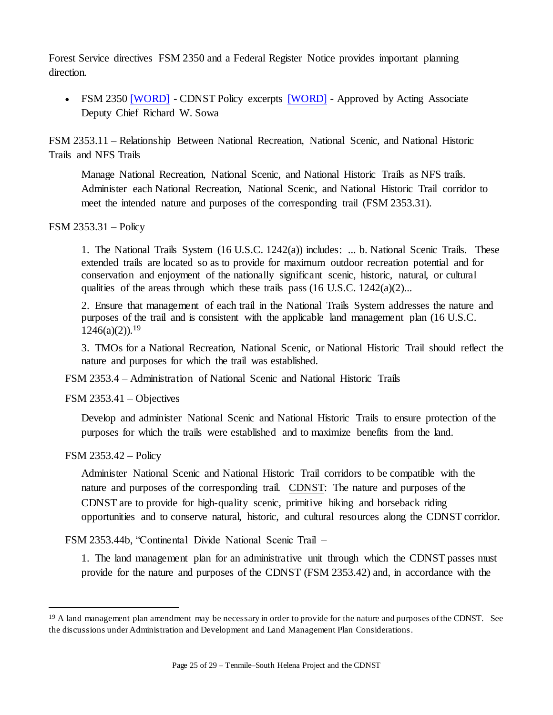Forest Service directives FSM 2350 and a Federal Register Notice provides important planning direction.

• FSM 2350 [\[WORD\]](http://nstrail.org/main/fsm_2350_2300_2009_2_cdnst.doc) - CDNST Policy excerpts [WORD] - Approved by Acting Associate Deputy Chief Richard W. Sowa

FSM 2353.11 – Relationship Between National Recreation, National Scenic, and National Historic Trails and NFS Trails

Manage National Recreation, National Scenic, and National Historic Trails as NFS trails. Administer each National Recreation, National Scenic, and National Historic Trail corridor to meet the intended nature and purposes of the corresponding trail (FSM 2353.31).

## FSM 2353.31 – Policy

1. The National Trails System (16 U.S.C. 1242(a)) includes: ... b. National Scenic Trails. These extended trails are located so as to provide for maximum outdoor recreation potential and for conservation and enjoyment of the nationally significant scenic, historic, natural, or cultural qualities of the areas through which these trails pass  $(16 \text{ U.S.C. } 1242(a)(2)...$ 

2. Ensure that management of each trail in the National Trails System addresses the nature and purposes of the trail and is consistent with the applicable land management plan (16 U.S.C.  $1246(a)(2)$ <sup>19</sup>

3. TMOs for a National Recreation, National Scenic, or National Historic Trail should reflect the nature and purposes for which the trail was established.

FSM 2353.4 – Administration of National Scenic and National Historic Trails

FSM 2353.41 – Objectives

Develop and administer National Scenic and National Historic Trails to ensure protection of the purposes for which the trails were established and to maximize benefits from the land.

## FSM 2353.42 – Policy

 $\overline{a}$ 

Administer National Scenic and National Historic Trail corridors to be compatible with the nature and purposes of the corresponding trail. CDNST: The nature and purposes of the CDNST are to provide for high-quality scenic, primitive hiking and horseback riding opportunities and to conserve natural, historic, and cultural resources along the CDNST corridor.

FSM 2353.44b, "Continental Divide National Scenic Trail –

1. The land management plan for an administrative unit through which the CDNST passes must provide for the nature and purposes of the CDNST (FSM 2353.42) and, in accordance with the

<sup>&</sup>lt;sup>19</sup> A land management plan amendment may be necessary in order to provide for the nature and purposes of the CDNST. See the discussions under Administration and Development and Land Management Plan Considerations.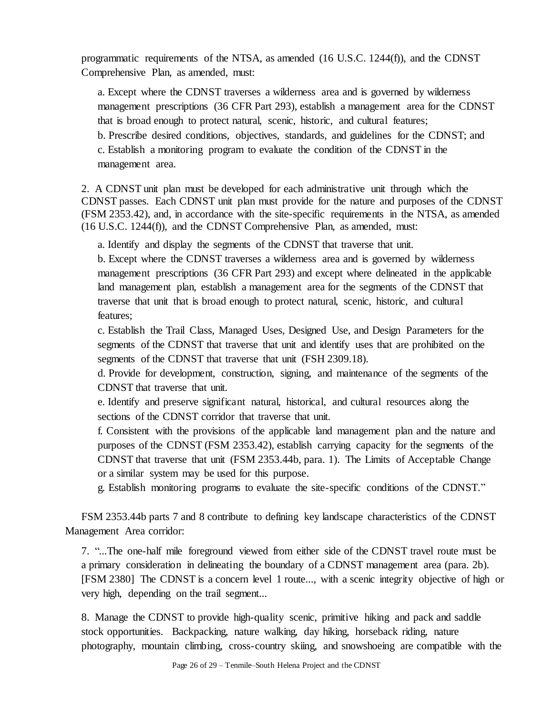programmatic requirements of the NTSA, as amended (16 U.S.C. 1244(f)), and the CDNST Comprehensive Plan, as amended, must:

a. Except where the CDNST traverses a wilderness area and is governed by wilderness management prescriptions (36 CFR Part 293), establish a management area for the CDNST that is broad enough to protect natural, scenic, historic, and cultural features; b. Prescribe desired conditions, objectives, standards, and guidelines for the CDNST; and c. Establish a monitoring program to evaluate the condition of the CDNST in the management area.

2. A CDNST unit plan must be developed for each administrative unit through which the CDNST passes. Each CDNST unit plan must provide for the nature and purposes of the CDNST (FSM 2353.42), and, in accordance with the site-specific requirements in the NTSA, as amended (16 U.S.C. 1244(f)), and the CDNST Comprehensive Plan, as amended, must:

a. Identify and display the segments of the CDNST that traverse that unit.

b. Except where the CDNST traverses a wilderness area and is governed by wilderness management prescriptions (36 CFR Part 293) and except where delineated in the applicable land management plan, establish a management area for the segments of the CDNST that traverse that unit that is broad enough to protect natural, scenic, historic, and cultural features;

c. Establish the Trail Class, Managed Uses, Designed Use, and Design Parameters for the segments of the CDNST that traverse that unit and identify uses that are prohibited on the segments of the CDNST that traverse that unit (FSH 2309.18).

d. Provide for development, construction, signing, and maintenance of the segments of the CDNST that traverse that unit.

e. Identify and preserve significant natural, historical, and cultural resources along the sections of the CDNST corridor that traverse that unit.

f. Consistent with the provisions of the applicable land management plan and the nature and purposes of the CDNST (FSM 2353.42), establish carrying capacity for the segments of the CDNST that traverse that unit (FSM 2353.44b, para. 1). The Limits of Acceptable Change or a similar system may be used for this purpose.

g. Establish monitoring programs to evaluate the site-specific conditions of the CDNST."

FSM 2353.44b parts 7 and 8 contribute to defining key landscape characteristics of the CDNST Management Area corridor:

7. "...The one-half mile foreground viewed from either side of the CDNST travel route must be a primary consideration in delineating the boundary of a CDNST management area (para. 2b). [FSM 2380] The CDNST is a concern level 1 route..., with a scenic integrity objective of high or very high, depending on the trail segment...

8. Manage the CDNST to provide high-quality scenic, primitive hiking and pack and saddle stock opportunities. Backpacking, nature walking, day hiking, horseback riding, nature photography, mountain climbing, cross-country skiing, and snowshoeing are compatible with the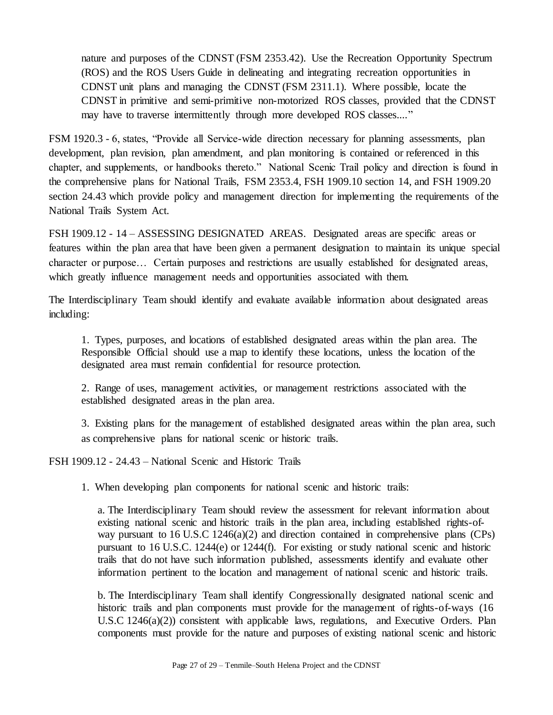nature and purposes of the CDNST (FSM 2353.42). Use the Recreation Opportunity Spectrum (ROS) and the ROS Users Guide in delineating and integrating recreation opportunities in CDNST unit plans and managing the CDNST (FSM 2311.1). Where possible, locate the CDNST in primitive and semi-primitive non-motorized ROS classes, provided that the CDNST may have to traverse intermittently through more developed ROS classes...."

FSM 1920.3 - 6, states, "Provide all Service-wide direction necessary for planning assessments, plan development, plan revision, plan amendment, and plan monitoring is contained or referenced in this chapter, and supplements, or handbooks thereto." National Scenic Trail policy and direction is found in the comprehensive plans for National Trails, FSM 2353.4, FSH 1909.10 section 14, and FSH 1909.20 section 24.43 which provide policy and management direction for implementing the requirements of the National Trails System Act.

FSH 1909.12 - 14 – ASSESSING DESIGNATED AREAS. Designated areas are specific areas or features within the plan area that have been given a permanent designation to maintain its unique special character or purpose… Certain purposes and restrictions are usually established for designated areas, which greatly influence management needs and opportunities associated with them.

The Interdisciplinary Team should identify and evaluate available information about designated areas including:

1. Types, purposes, and locations of established designated areas within the plan area. The Responsible Official should use a map to identify these locations, unless the location of the designated area must remain confidential for resource protection.

2. Range of uses, management activities, or management restrictions associated with the established designated areas in the plan area.

3. Existing plans for the management of established designated areas within the plan area, such as comprehensive plans for national scenic or historic trails.

FSH 1909.12 - 24.43 – National Scenic and Historic Trails

1. When developing plan components for national scenic and historic trails:

a. The Interdisciplinary Team should review the assessment for relevant information about existing national scenic and historic trails in the plan area, including established rights-ofway pursuant to 16 U.S.C 1246(a)(2) and direction contained in comprehensive plans (CPs) pursuant to 16 U.S.C. 1244(e) or 1244(f). For existing or study national scenic and historic trails that do not have such information published, assessments identify and evaluate other information pertinent to the location and management of national scenic and historic trails.

b. The Interdisciplinary Team shall identify Congressionally designated national scenic and historic trails and plan components must provide for the management of rights-of-ways (16) U.S.C 1246(a)(2)) consistent with applicable laws, regulations, and Executive Orders. Plan components must provide for the nature and purposes of existing national scenic and historic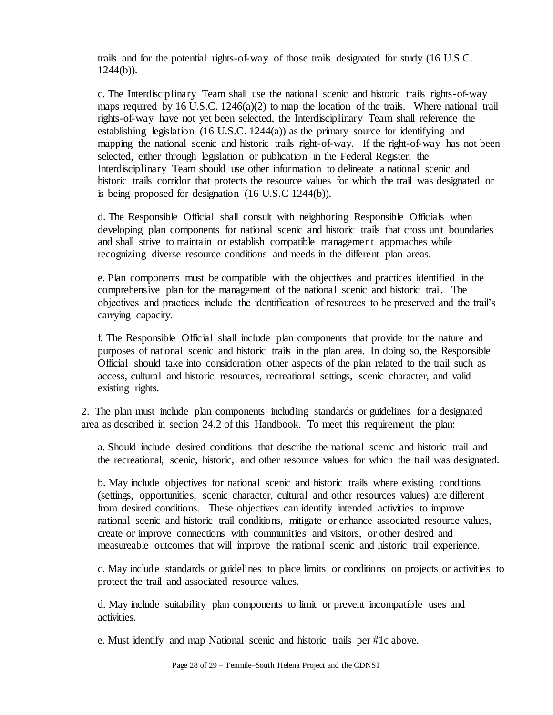trails and for the potential rights-of-way of those trails designated for study (16 U.S.C.  $1244(b)$ ).

c. The Interdisciplinary Team shall use the national scenic and historic trails rights-of-way maps required by 16 U.S.C.  $1246(a)(2)$  to map the location of the trails. Where national trail rights-of-way have not yet been selected, the Interdisciplinary Team shall reference the establishing legislation  $(16 \text{ U.S.C. } 1244(a))$  as the primary source for identifying and mapping the national scenic and historic trails right-of-way. If the right-of-way has not been selected, either through legislation or publication in the Federal Register, the Interdisciplinary Team should use other information to delineate a national scenic and historic trails corridor that protects the resource values for which the trail was designated or is being proposed for designation (16 U.S.C 1244(b)).

d. The Responsible Official shall consult with neighboring Responsible Officials when developing plan components for national scenic and historic trails that cross unit boundaries and shall strive to maintain or establish compatible management approaches while recognizing diverse resource conditions and needs in the different plan areas.

e. Plan components must be compatible with the objectives and practices identified in the comprehensive plan for the management of the national scenic and historic trail. The objectives and practices include the identification of resources to be preserved and the trail's carrying capacity.

f. The Responsible Official shall include plan components that provide for the nature and purposes of national scenic and historic trails in the plan area. In doing so, the Responsible Official should take into consideration other aspects of the plan related to the trail such as access, cultural and historic resources, recreational settings, scenic character, and valid existing rights.

2. The plan must include plan components including standards or guidelines for a designated area as described in section 24.2 of this Handbook. To meet this requirement the plan:

a. Should include desired conditions that describe the national scenic and historic trail and the recreational, scenic, historic, and other resource values for which the trail was designated.

b. May include objectives for national scenic and historic trails where existing conditions (settings, opportunities, scenic character, cultural and other resources values) are different from desired conditions. These objectives can identify intended activities to improve national scenic and historic trail conditions, mitigate or enhance associated resource values, create or improve connections with communities and visitors, or other desired and measureable outcomes that will improve the national scenic and historic trail experience.

c. May include standards or guidelines to place limits or conditions on projects or activities to protect the trail and associated resource values.

d. May include suitability plan components to limit or prevent incompatible uses and activities.

e. Must identify and map National scenic and historic trails per #1c above.